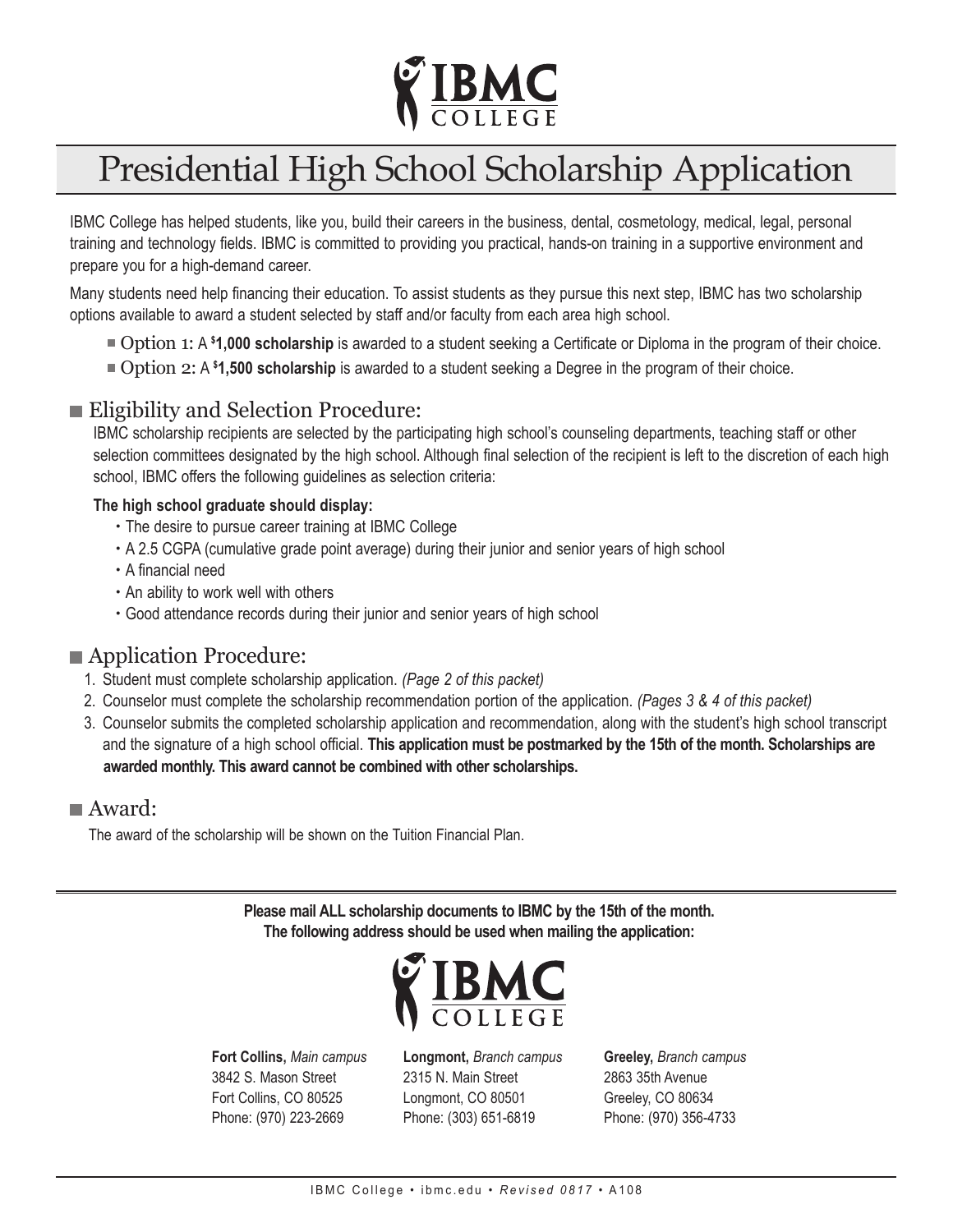

# Presidential High School Scholarship Application

IBMC College has helped students, like you, build their careers in the business, dental, cosmetology, medical, legal, personal training and technology fields. IBMC is committed to providing you practical, hands-on training in a supportive environment and prepare you for a high-demand career.

Many students need help financing their education. To assist students as they pursue this next step, IBMC has two scholarship options available to award a student selected by staff and/or faculty from each area high school.

- Option 1: A **\$ 1,000 scholarship** is awarded to a student seeking a Certificate or Diploma in the program of their choice.
- Option 2: A **\$ 1,500 scholarship** is awarded to a student seeking a Degree in the program of their choice.

#### **Eligibility and Selection Procedure:**

IBMC scholarship recipients are selected by the participating high school's counseling departments, teaching staff or other selection committees designated by the high school. Although final selection of the recipient is left to the discretion of each high school, IBMC offers the following guidelines as selection criteria:

#### **The high school graduate should display:**

- The desire to pursue career training at IBMC College
- A 2.5 CGPA (cumulative grade point average) during their junior and senior years of high school
- A financial need
- An ability to work well with others
- Good attendance records during their junior and senior years of high school

#### **Application Procedure:**

- 1. Student must complete scholarship application. *(Page 2 of this packet)*
- 2. Counselor must complete the scholarship recommendation portion of the application. *(Pages 3 & 4 of this packet)*
- 3. Counselor submits the completed scholarship application and recommendation, along with the student's high school transcript and the signature of a high school official. **This application must be postmarked by the 15th of the month. Scholarships are awarded monthly. This award cannot be combined with other scholarships.**

#### Award:

The award of the scholarship will be shown on the Tuition Financial Plan.

**Please mail ALL scholarship documents to IBMC by the 15th of the month. The following address should be used when mailing the application:**



**Fort Collins,** *Main campus* 3842 S. Mason Street Fort Collins, CO 80525 Phone: (970) 223-2669

**Longmont,** *Branch campus* 2315 N. Main Street Longmont, CO 80501 Phone: (303) 651-6819

**Greeley,** *Branch campus* 2863 35th Avenue Greeley, CO 80634 Phone: (970) 356-4733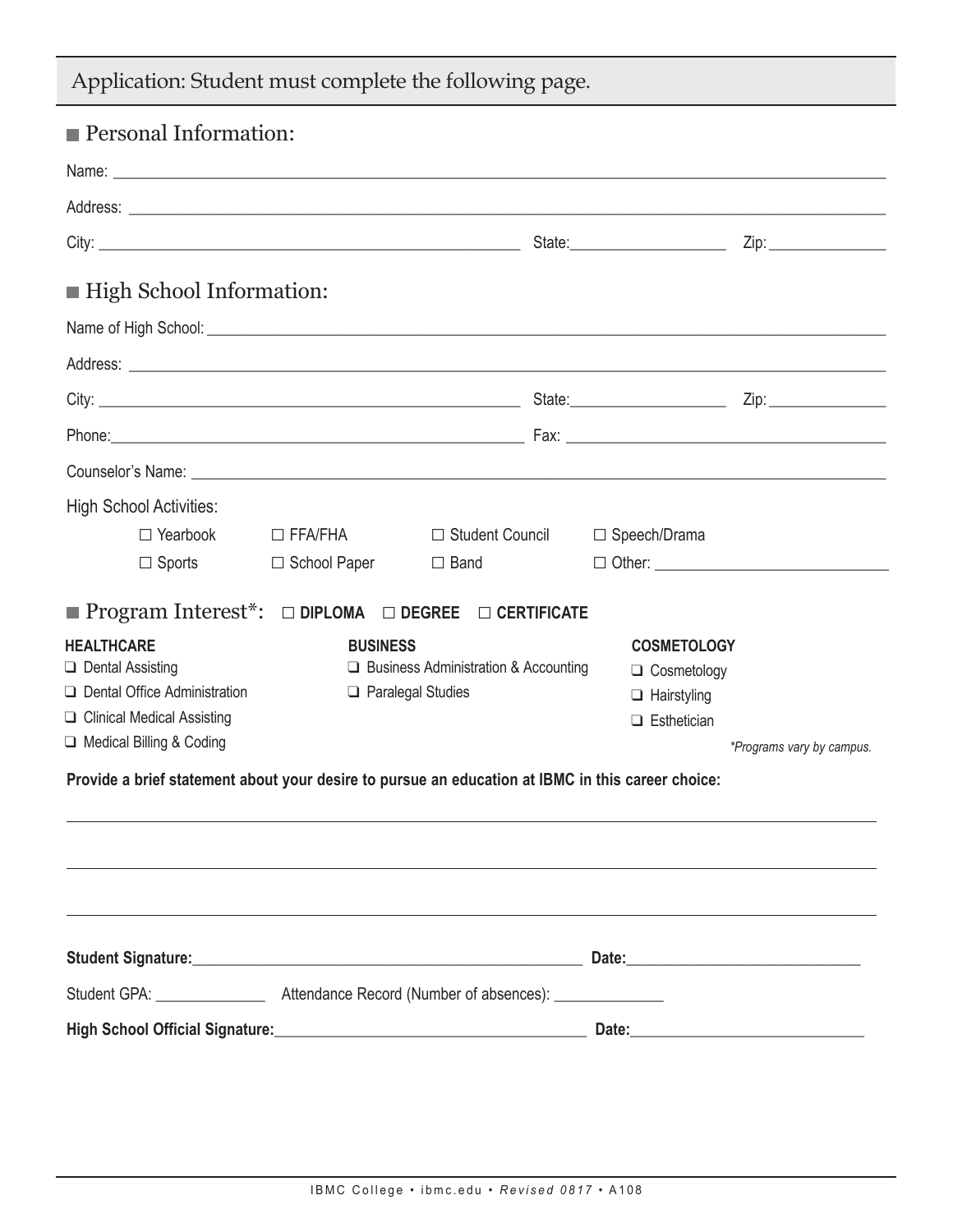| <b>Personal Information:</b>                                                                                                                                                                                                         |                 |                                                       |                                 |                           |  |
|--------------------------------------------------------------------------------------------------------------------------------------------------------------------------------------------------------------------------------------|-----------------|-------------------------------------------------------|---------------------------------|---------------------------|--|
|                                                                                                                                                                                                                                      |                 |                                                       |                                 |                           |  |
|                                                                                                                                                                                                                                      |                 |                                                       |                                 |                           |  |
|                                                                                                                                                                                                                                      |                 |                                                       | State: ________________________ | Zip: ________________     |  |
| ■ High School Information:                                                                                                                                                                                                           |                 |                                                       |                                 |                           |  |
|                                                                                                                                                                                                                                      |                 |                                                       |                                 |                           |  |
| Address: <u>example and a series of the series of the series of the series of the series of the series of the series of the series of the series of the series of the series of the series of the series of the series of the se</u> |                 |                                                       |                                 |                           |  |
|                                                                                                                                                                                                                                      |                 |                                                       |                                 |                           |  |
| Phone: 2008. 2009. [2013] Phone: 2014. [2013] Phone: 2014. [2013] Phone: 2014. [2014] Phone: 2014. [2014] Phone: 2014. [2014] Phone: 2014. [2014] Phone: 2014. [2014] Phone: 2014. [2014] Phone: 2014. [2014] Phone: 2014. [20       |                 |                                                       |                                 |                           |  |
| Counselor's Name: example and the counselor's Name: example and the counselor's Name: example and the counselor                                                                                                                      |                 |                                                       |                                 |                           |  |
| <b>High School Activities:</b>                                                                                                                                                                                                       |                 |                                                       |                                 |                           |  |
|                                                                                                                                                                                                                                      |                 | □ Yearbook □ FFA/FHA □ Student Council □ Speech/Drama |                                 |                           |  |
| $\Box$ Sports                                                                                                                                                                                                                        |                 | $\Box$ School Paper $\Box$ Band                       |                                 |                           |  |
| <b>Program Interest<sup>*</sup>:</b> $\Box$ DIPLOMA $\Box$ DEGREE $\Box$ CERTIFICATE                                                                                                                                                 |                 |                                                       |                                 |                           |  |
| <b>HEALTHCARE</b>                                                                                                                                                                                                                    | <b>BUSINESS</b> |                                                       | <b>COSMETOLOGY</b>              |                           |  |
| $\Box$ Dental Assisting                                                                                                                                                                                                              |                 | $\Box$ Business Administration & Accounting           | $\Box$ Cosmetology              |                           |  |
| Dental Office Administration                                                                                                                                                                                                         |                 | $\Box$ Paralegal Studies                              |                                 | $\Box$ Hairstyling        |  |
| □ Clinical Medical Assisting<br>□ Medical Billing & Coding                                                                                                                                                                           |                 |                                                       | $\Box$ Esthetician              |                           |  |
| Provide a brief statement about your desire to pursue an education at IBMC in this career choice:                                                                                                                                    |                 |                                                       |                                 | *Programs vary by campus. |  |
|                                                                                                                                                                                                                                      |                 |                                                       |                                 |                           |  |
|                                                                                                                                                                                                                                      |                 |                                                       |                                 |                           |  |
|                                                                                                                                                                                                                                      |                 |                                                       |                                 |                           |  |
|                                                                                                                                                                                                                                      |                 |                                                       |                                 |                           |  |
|                                                                                                                                                                                                                                      |                 |                                                       |                                 |                           |  |
|                                                                                                                                                                                                                                      |                 |                                                       |                                 |                           |  |
|                                                                                                                                                                                                                                      |                 |                                                       |                                 |                           |  |
|                                                                                                                                                                                                                                      |                 |                                                       |                                 |                           |  |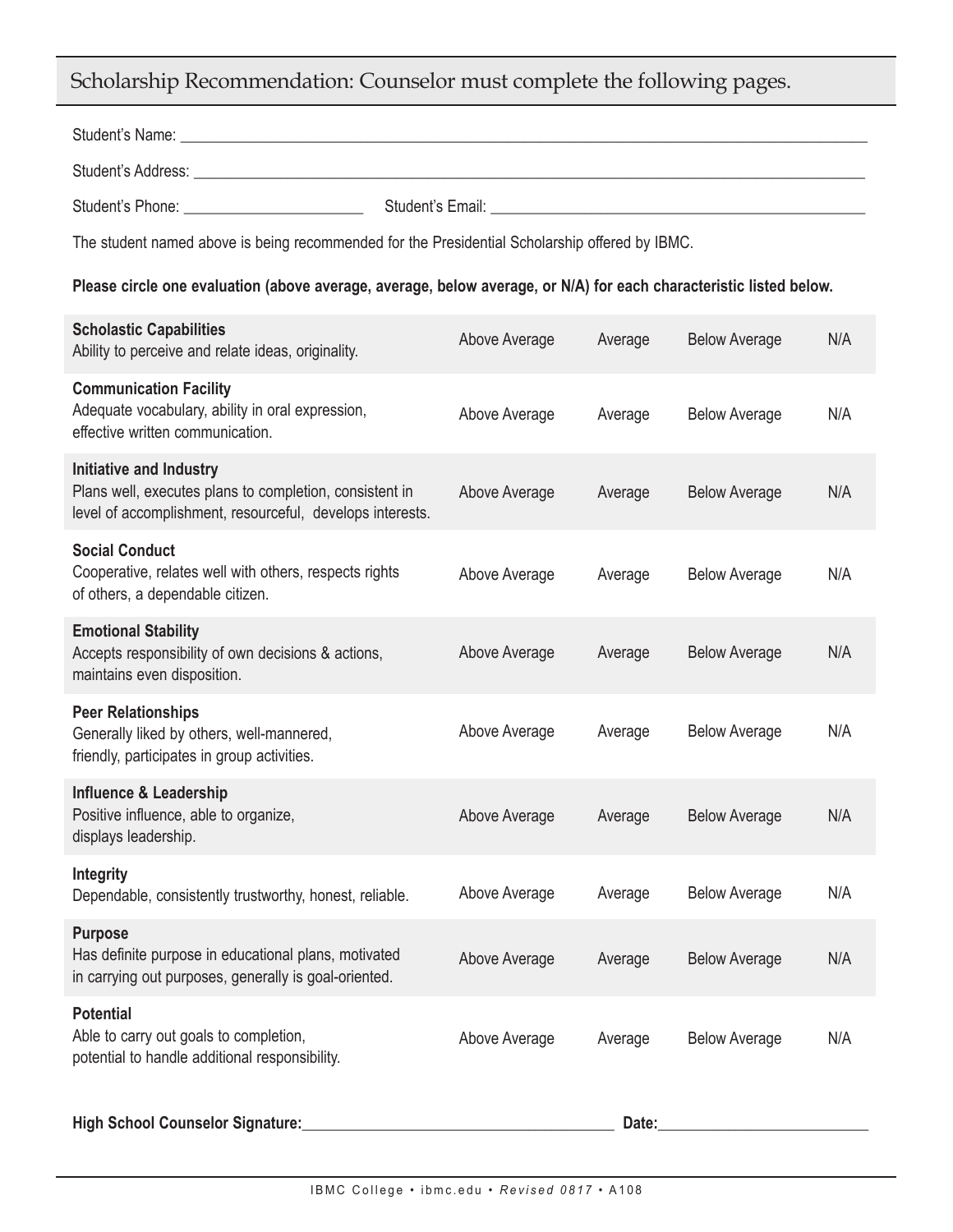## Scholarship Recommendation: Counselor must complete the following pages.

| Student's Name: Name: Name: Name: Name: Name: Name: Name: Name: Name: Name: Name: Name: Name: Name: Name: Name: Name: Name: Name: Name: Name: Name: Name: Name: Name: Name: Name: Name: Name: Name: Name: Name: Name: Name: Na |               |         |                      |     |  |  |
|--------------------------------------------------------------------------------------------------------------------------------------------------------------------------------------------------------------------------------|---------------|---------|----------------------|-----|--|--|
|                                                                                                                                                                                                                                |               |         |                      |     |  |  |
| Student's Phone: National Communication of Student's Email: National Communication of Student's Email:                                                                                                                         |               |         |                      |     |  |  |
| The student named above is being recommended for the Presidential Scholarship offered by IBMC.                                                                                                                                 |               |         |                      |     |  |  |
| Please circle one evaluation (above average, average, below average, or N/A) for each characteristic listed below.                                                                                                             |               |         |                      |     |  |  |
| <b>Scholastic Capabilities</b><br>Ability to perceive and relate ideas, originality.                                                                                                                                           | Above Average | Average | <b>Below Average</b> | N/A |  |  |
| <b>Communication Facility</b><br>Adequate vocabulary, ability in oral expression,<br>effective written communication.                                                                                                          | Above Average | Average | <b>Below Average</b> | N/A |  |  |
| <b>Initiative and Industry</b><br>Plans well, executes plans to completion, consistent in<br>level of accomplishment, resourceful, develops interests.                                                                         | Above Average | Average | <b>Below Average</b> | N/A |  |  |
| <b>Social Conduct</b><br>Cooperative, relates well with others, respects rights<br>of others, a dependable citizen.                                                                                                            | Above Average | Average | <b>Below Average</b> | N/A |  |  |
| <b>Emotional Stability</b><br>Accepts responsibility of own decisions & actions,<br>maintains even disposition.                                                                                                                | Above Average | Average | <b>Below Average</b> | N/A |  |  |
| <b>Peer Relationships</b><br>Generally liked by others, well-mannered,<br>friendly, participates in group activities.                                                                                                          | Above Average | Average | <b>Below Average</b> | N/A |  |  |
| <b>Influence &amp; Leadership</b><br>Positive influence, able to organize,<br>displays leadership.                                                                                                                             | Above Average | Average | <b>Below Average</b> | N/A |  |  |
| Integrity<br>Dependable, consistently trustworthy, honest, reliable.                                                                                                                                                           | Above Average | Average | <b>Below Average</b> | N/A |  |  |
| <b>Purpose</b><br>Has definite purpose in educational plans, motivated<br>in carrying out purposes, generally is goal-oriented.                                                                                                | Above Average | Average | <b>Below Average</b> | N/A |  |  |
| <b>Potential</b><br>Able to carry out goals to completion,<br>potential to handle additional responsibility.                                                                                                                   | Above Average | Average | <b>Below Average</b> | N/A |  |  |
| High School Counselor Signature:                                                                                                                                                                                               |               | Date:   |                      |     |  |  |